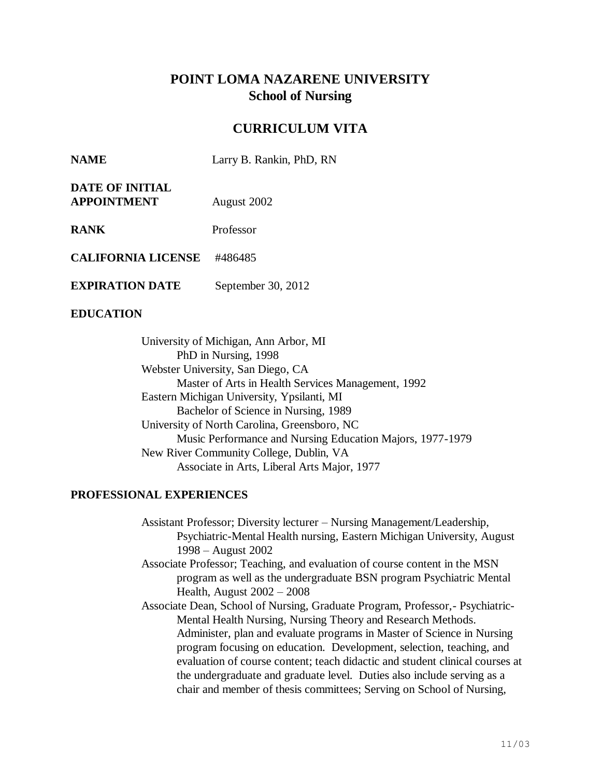# **POINT LOMA NAZARENE UNIVERSITY School of Nursing**

## **CURRICULUM VITA**

| <b>NAME</b> | Larry B. Rankin, PhD, RN |  |  |
|-------------|--------------------------|--|--|
|-------------|--------------------------|--|--|

| <b>DATE OF INITIAL</b> |             |
|------------------------|-------------|
| <b>APPOINTMENT</b>     | August 2002 |

**RANK** Professor

**CALIFORNIA LICENSE** #486485

**EXPIRATION DATE** September 30, 2012

## **EDUCATION**

University of Michigan, Ann Arbor, MI PhD in Nursing, 1998 Webster University, San Diego, CA Master of Arts in Health Services Management, 1992 Eastern Michigan University, Ypsilanti, MI Bachelor of Science in Nursing, 1989 University of North Carolina, Greensboro, NC Music Performance and Nursing Education Majors, 1977-1979 New River Community College, Dublin, VA Associate in Arts, Liberal Arts Major, 1977

## **PROFESSIONAL EXPERIENCES**

Assistant Professor; Diversity lecturer – Nursing Management/Leadership, Psychiatric-Mental Health nursing, Eastern Michigan University, August 1998 – August 2002

- Associate Professor; Teaching, and evaluation of course content in the MSN program as well as the undergraduate BSN program Psychiatric Mental Health, August 2002 – 2008
- Associate Dean, School of Nursing, Graduate Program, Professor,- Psychiatric-Mental Health Nursing, Nursing Theory and Research Methods. Administer, plan and evaluate programs in Master of Science in Nursing program focusing on education. Development, selection, teaching, and evaluation of course content; teach didactic and student clinical courses at the undergraduate and graduate level. Duties also include serving as a chair and member of thesis committees; Serving on School of Nursing,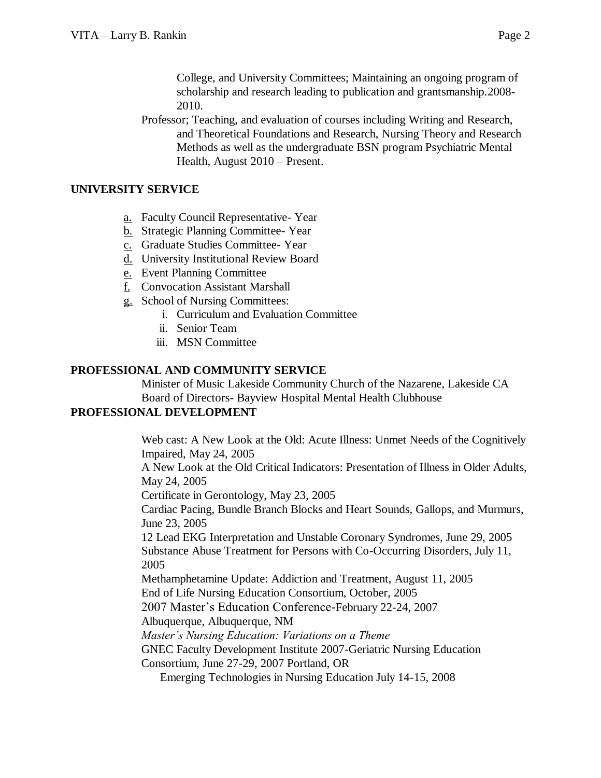College, and University Committees; Maintaining an ongoing program of scholarship and research leading to publication and grantsmanship.2008- 2010.

Professor; Teaching, and evaluation of courses including Writing and Research, and Theoretical Foundations and Research, Nursing Theory and Research Methods as well as the undergraduate BSN program Psychiatric Mental Health, August 2010 – Present.

#### **UNIVERSITY SERVICE**

- a. Faculty Council Representative- Year
- b. Strategic Planning Committee- Year
- c. Graduate Studies Committee- Year
- d. University Institutional Review Board
- e. Event Planning Committee
- f. Convocation Assistant Marshall
- g. School of Nursing Committees:
	- i. Curriculum and Evaluation Committee
	- ii. Senior Team
	- iii. MSN Committee

#### **PROFESSIONAL AND COMMUNITY SERVICE**

Minister of Music Lakeside Community Church of the Nazarene, Lakeside CA Board of Directors- Bayview Hospital Mental Health Clubhouse

## **PROFESSIONAL DEVELOPMENT**

Web cast: A New Look at the Old: Acute Illness: Unmet Needs of the Cognitively Impaired, May 24, 2005

A New Look at the Old Critical Indicators: Presentation of Illness in Older Adults, May 24, 2005

Certificate in Gerontology, May 23, 2005

Cardiac Pacing, Bundle Branch Blocks and Heart Sounds, Gallops, and Murmurs, June 23, 2005

12 Lead EKG Interpretation and Unstable Coronary Syndromes, June 29, 2005 Substance Abuse Treatment for Persons with Co-Occurring Disorders, July 11, 2005

Methamphetamine Update: Addiction and Treatment, August 11, 2005 End of Life Nursing Education Consortium, October, 2005

2007 Master's Education Conference-February 22-24, 2007

Albuquerque, Albuquerque, NM

*Master's Nursing Education: Variations on a Theme*

GNEC Faculty Development Institute 2007-Geriatric Nursing Education

Consortium, June 27-29, 2007 Portland, OR

Emerging Technologies in Nursing Education July 14-15, 2008